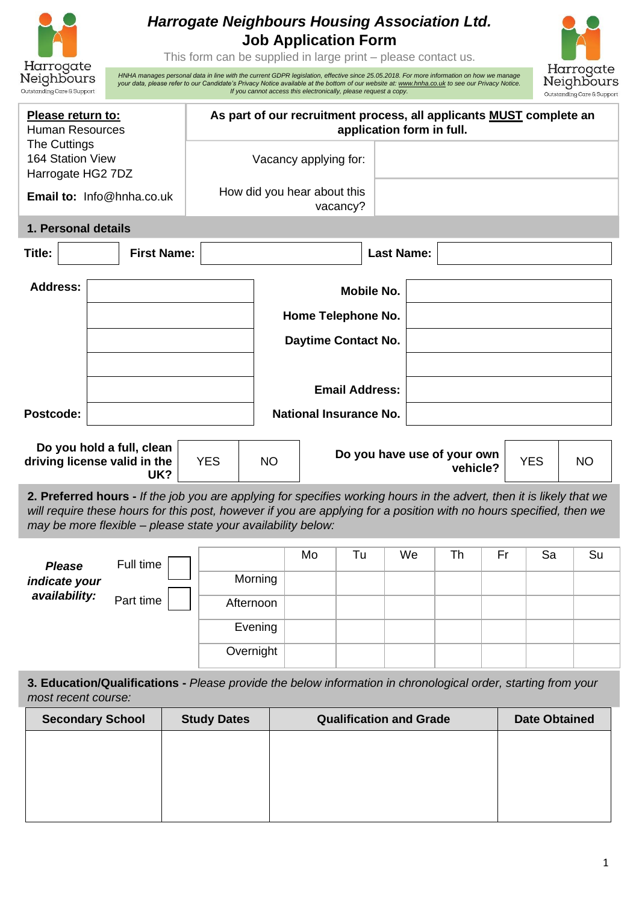| <b>Harrogate Neighbours Housing Association Ltd.</b><br><b>Job Application Form</b><br>This form can be supplied in large print – please contact us.<br>Harrogate<br>HNHA manages personal data in line with the current GDPR legislation, effective since 25.05.2018. For more information on how we manage |                                                                                                                                                |           |                             |                                                                  | Harrogate         |                                         |    |                      |                                          |
|--------------------------------------------------------------------------------------------------------------------------------------------------------------------------------------------------------------------------------------------------------------------------------------------------------------|------------------------------------------------------------------------------------------------------------------------------------------------|-----------|-----------------------------|------------------------------------------------------------------|-------------------|-----------------------------------------|----|----------------------|------------------------------------------|
| Neighbours<br>Outstanding Care & Support                                                                                                                                                                                                                                                                     | your data, please refer to our Candidate's Privacy Notice available at the bottom of our website at: www.hnha.co.uk to see our Privacy Notice. |           |                             | If you cannot access this electronically, please request a copy. |                   |                                         |    |                      | Neighbours<br>Outstanding Care & Support |
| Please return to:<br><b>Human Resources</b><br>The Cuttings                                                                                                                                                                                                                                                  | As part of our recruitment process, all applicants MUST complete an                                                                            |           |                             |                                                                  |                   | application form in full.               |    |                      |                                          |
| 164 Station View<br>Harrogate HG2 7DZ                                                                                                                                                                                                                                                                        |                                                                                                                                                |           | Vacancy applying for:       |                                                                  |                   |                                         |    |                      |                                          |
| Email to: Info@hnha.co.uk                                                                                                                                                                                                                                                                                    |                                                                                                                                                |           | How did you hear about this | vacancy?                                                         |                   |                                         |    |                      |                                          |
| 1. Personal details                                                                                                                                                                                                                                                                                          |                                                                                                                                                |           |                             |                                                                  |                   |                                         |    |                      |                                          |
| <b>First Name:</b><br>Title:                                                                                                                                                                                                                                                                                 |                                                                                                                                                |           |                             |                                                                  | <b>Last Name:</b> |                                         |    |                      |                                          |
| <b>Address:</b>                                                                                                                                                                                                                                                                                              |                                                                                                                                                |           |                             | <b>Mobile No.</b>                                                |                   |                                         |    |                      |                                          |
|                                                                                                                                                                                                                                                                                                              |                                                                                                                                                |           |                             | Home Telephone No.                                               |                   |                                         |    |                      |                                          |
|                                                                                                                                                                                                                                                                                                              |                                                                                                                                                |           |                             | Daytime Contact No.                                              |                   |                                         |    |                      |                                          |
|                                                                                                                                                                                                                                                                                                              |                                                                                                                                                |           |                             |                                                                  |                   |                                         |    |                      |                                          |
|                                                                                                                                                                                                                                                                                                              |                                                                                                                                                |           |                             | <b>Email Address:</b>                                            |                   |                                         |    |                      |                                          |
| Postcode:                                                                                                                                                                                                                                                                                                    |                                                                                                                                                |           |                             | <b>National Insurance No.</b>                                    |                   |                                         |    |                      |                                          |
| Do you hold a full, clean<br>driving license valid in the<br>UK?                                                                                                                                                                                                                                             | <b>YES</b>                                                                                                                                     | <b>NO</b> |                             |                                                                  |                   | Do you have use of your own<br>vehicle? |    | <b>YES</b>           | NO                                       |
| 2. Preferred hours - If the job you are applying for specifies working hours in the advert, then it is likely that we<br>will require these hours for this post, however if you are applying for a position with no hours specified, then we<br>may be more flexible - please state your availability below: |                                                                                                                                                |           |                             |                                                                  |                   |                                         |    |                      |                                          |
| Full time<br><b>Please</b>                                                                                                                                                                                                                                                                                   |                                                                                                                                                |           | Mo                          | Tu                                                               | We                | Th                                      | Fr | Sa                   | Su                                       |
| indicate your                                                                                                                                                                                                                                                                                                |                                                                                                                                                | Morning   |                             |                                                                  |                   |                                         |    |                      |                                          |
| availability:<br>Part time                                                                                                                                                                                                                                                                                   | Afternoon                                                                                                                                      |           |                             |                                                                  |                   |                                         |    |                      |                                          |
|                                                                                                                                                                                                                                                                                                              |                                                                                                                                                | Evening   |                             |                                                                  |                   |                                         |    |                      |                                          |
| Overnight                                                                                                                                                                                                                                                                                                    |                                                                                                                                                |           |                             |                                                                  |                   |                                         |    |                      |                                          |
| 3. Education/Qualifications - Please provide the below information in chronological order, starting from your<br>most recent course:                                                                                                                                                                         |                                                                                                                                                |           |                             |                                                                  |                   |                                         |    |                      |                                          |
| <b>Secondary School</b>                                                                                                                                                                                                                                                                                      | <b>Study Dates</b>                                                                                                                             |           |                             | <b>Qualification and Grade</b>                                   |                   |                                         |    | <b>Date Obtained</b> |                                          |

| <b>Secondary School</b> | <b>Study Dates</b> | <b>Qualification and Grade</b> | <b>Date Obtained</b> |
|-------------------------|--------------------|--------------------------------|----------------------|
|                         |                    |                                |                      |
|                         |                    |                                |                      |
|                         |                    |                                |                      |
|                         |                    |                                |                      |
|                         |                    |                                |                      |
|                         |                    |                                |                      |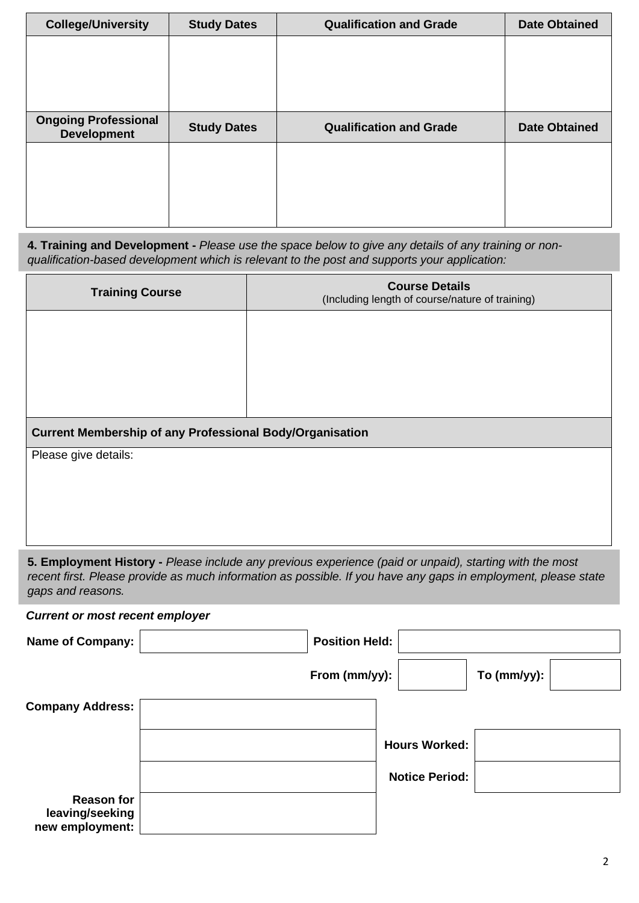| <b>College/University</b>   | <b>Study Dates</b> | <b>Qualification and Grade</b> | <b>Date Obtained</b> |
|-----------------------------|--------------------|--------------------------------|----------------------|
|                             |                    |                                |                      |
|                             |                    |                                |                      |
|                             |                    |                                |                      |
| <b>Ongoing Professional</b> |                    |                                |                      |
| <b>Development</b>          | <b>Study Dates</b> | <b>Qualification and Grade</b> | <b>Date Obtained</b> |
|                             |                    |                                |                      |
|                             |                    |                                |                      |
|                             |                    |                                |                      |
|                             |                    |                                |                      |

**4. Training and Development -** *Please use the space below to give any details of any training or nonqualification-based development which is relevant to the post and supports your application:*

Г

| <b>Training Course</b>                                          | <b>Course Details</b><br>(Including length of course/nature of training)                                                                                                                                                  |
|-----------------------------------------------------------------|---------------------------------------------------------------------------------------------------------------------------------------------------------------------------------------------------------------------------|
|                                                                 |                                                                                                                                                                                                                           |
|                                                                 |                                                                                                                                                                                                                           |
|                                                                 |                                                                                                                                                                                                                           |
|                                                                 |                                                                                                                                                                                                                           |
|                                                                 |                                                                                                                                                                                                                           |
| <b>Current Membership of any Professional Body/Organisation</b> |                                                                                                                                                                                                                           |
| Please give details:                                            |                                                                                                                                                                                                                           |
|                                                                 |                                                                                                                                                                                                                           |
|                                                                 |                                                                                                                                                                                                                           |
|                                                                 |                                                                                                                                                                                                                           |
|                                                                 |                                                                                                                                                                                                                           |
| gaps and reasons.                                               | 5. Employment History - Please include any previous experience (paid or unpaid), starting with the most<br>recent first. Please provide as much information as possible. If you have any gaps in employment, please state |
| <b>Current or most recent employer</b>                          |                                                                                                                                                                                                                           |
| <b>Name of Company:</b>                                         | <b>Position Held:</b>                                                                                                                                                                                                     |
|                                                                 | From (mm/yy):<br>To (mm/yy):                                                                                                                                                                                              |
| <b>Company Address:</b>                                         |                                                                                                                                                                                                                           |
|                                                                 | <b>Hours Worked:</b>                                                                                                                                                                                                      |
|                                                                 |                                                                                                                                                                                                                           |
|                                                                 | <b>Notice Period:</b>                                                                                                                                                                                                     |
| <b>Reason for</b>                                               |                                                                                                                                                                                                                           |
| leaving/seeking<br>new employment:                              |                                                                                                                                                                                                                           |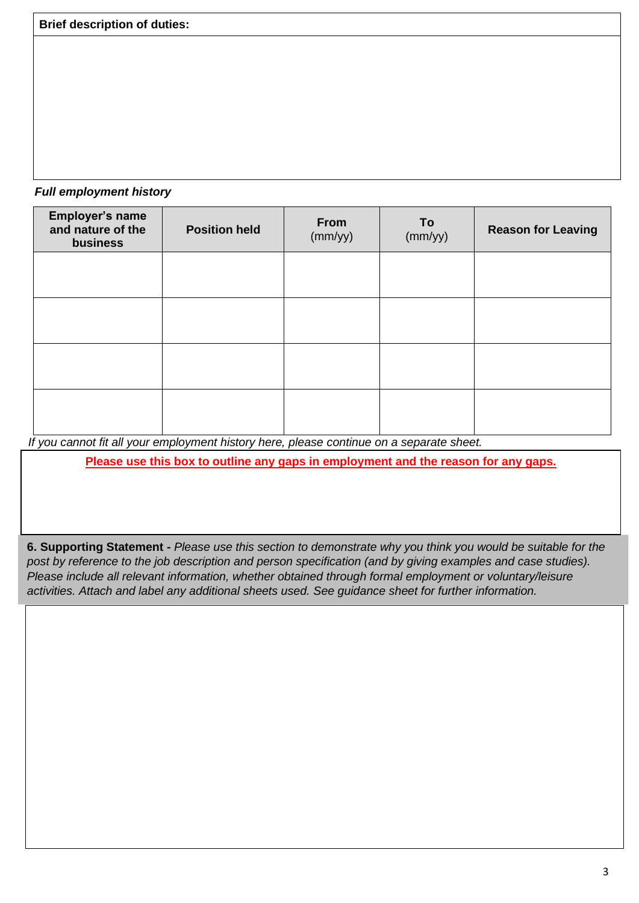*Full employment history*

| Employer's name<br>and nature of the<br>business | <b>Position held</b> | From<br>(mm/yy) | To<br>(mm/yy) | <b>Reason for Leaving</b> |
|--------------------------------------------------|----------------------|-----------------|---------------|---------------------------|
|                                                  |                      |                 |               |                           |
|                                                  |                      |                 |               |                           |
|                                                  |                      |                 |               |                           |
|                                                  |                      |                 |               |                           |

*If you cannot fit all your employment history here, please continue on a separate sheet.*

**Please use this box to outline any gaps in employment and the reason for any gaps.**

**6. Supporting Statement -** *Please use this section to demonstrate why you think you would be suitable for the post by reference to the job description and person specification (and by giving examples and case studies). Please include all relevant information, whether obtained through formal employment or voluntary/leisure activities. Attach and label any additional sheets used. See guidance sheet for further information.*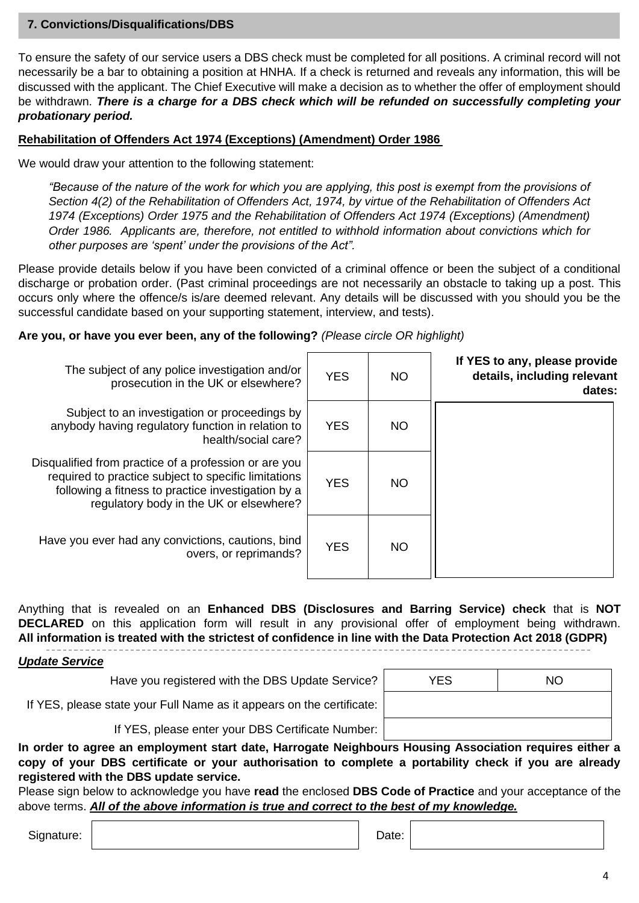#### **7. Convictions/Disqualifications/DBS**

To ensure the safety of our service users a DBS check must be completed for all positions. A criminal record will not necessarily be a bar to obtaining a position at HNHA. If a check is returned and reveals any information, this will be discussed with the applicant. The Chief Executive will make a decision as to whether the offer of employment should be withdrawn. *There is a charge for a DBS check which will be refunded on successfully completing your probationary period.*

#### **Rehabilitation of Offenders Act 1974 (Exceptions) (Amendment) Order 1986**

We would draw your attention to the following statement:

*"Because of the nature of the work for which you are applying, this post is exempt from the provisions of Section 4(2) of the Rehabilitation of Offenders Act, 1974, by virtue of the Rehabilitation of Offenders Act 1974 (Exceptions) Order 1975 and the Rehabilitation of Offenders Act 1974 (Exceptions) (Amendment) Order 1986. Applicants are, therefore, not entitled to withhold information about convictions which for other purposes are 'spent' under the provisions of the Act".*

Please provide details below if you have been convicted of a criminal offence or been the subject of a conditional discharge or probation order. (Past criminal proceedings are not necessarily an obstacle to taking up a post. This occurs only where the offence/s is/are deemed relevant. Any details will be discussed with you should you be the successful candidate based on your supporting statement, interview, and tests).

#### **Are you, or have you ever been, any of the following?** *(Please circle OR highlight)*

| The subject of any police investigation and/or<br>prosecution in the UK or elsewhere?                                                                                                                          | <b>YES</b> | <b>NO</b> | If YES to any, please provide<br>details, including relevant<br>dates: |
|----------------------------------------------------------------------------------------------------------------------------------------------------------------------------------------------------------------|------------|-----------|------------------------------------------------------------------------|
| Subject to an investigation or proceedings by<br>anybody having regulatory function in relation to<br>health/social care?                                                                                      | <b>YES</b> | NO.       |                                                                        |
| Disqualified from practice of a profession or are you<br>required to practice subject to specific limitations<br>following a fitness to practice investigation by a<br>regulatory body in the UK or elsewhere? | <b>YES</b> | <b>NO</b> |                                                                        |
| Have you ever had any convictions, cautions, bind<br>overs, or reprimands?                                                                                                                                     | <b>YES</b> | NO.       |                                                                        |

Anything that is revealed on an **Enhanced DBS (Disclosures and Barring Service) check** that is **NOT DECLARED** on this application form will result in any provisional offer of employment being withdrawn. **All information is treated with the strictest of confidence in line with the Data Protection Act 2018 (GDPR)**

#### *Update Service*

Have you registered with the DBS Update Service?

| <b>YES</b> | <b>NO</b> |
|------------|-----------|
|            |           |
|            |           |

If YES, please state your Full Name as it appears on the certificate:

If YES, please enter your DBS Certificate Number:

**In order to agree an employment start date, Harrogate Neighbours Housing Association requires either a copy of your DBS certificate or your authorisation to complete a portability check if you are already registered with the DBS update service.**

Please sign below to acknowledge you have **read** the enclosed **DBS Code of Practice** and your acceptance of the above terms. *All of the above information is true and correct to the best of my knowledge.*

Signature: Note: Note: Note: Note: Note: Note: Note: Note: Note: Note: Note: Note: Note: Note: Note: Note: Note: Note: Note: Note: Note: Note: Note: Note: Note: Note: Note: Note: Note: Note: Note: Note: Note: Note: Note: N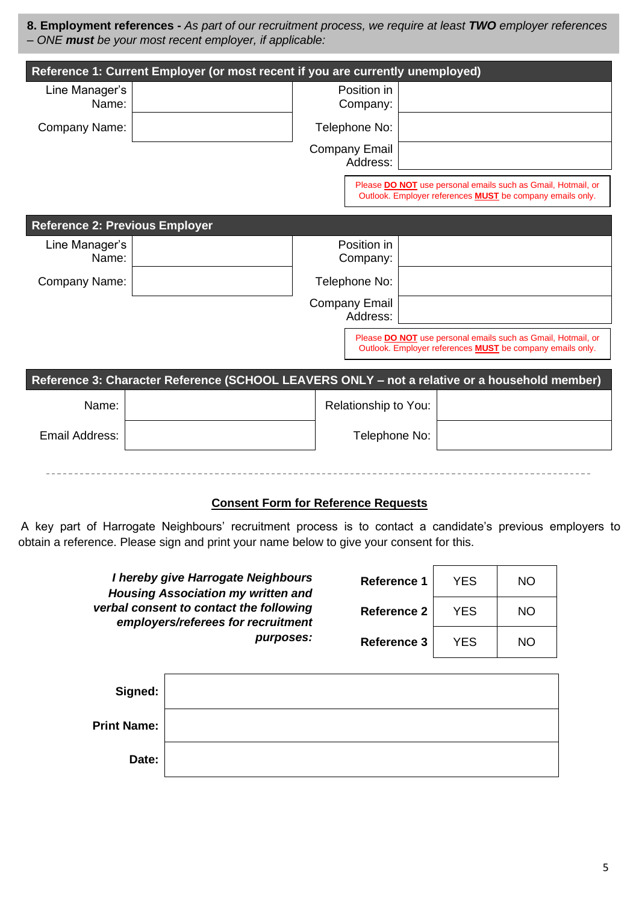**8. Employment references -** *As part of our recruitment process, we require at least TWO employer references – ONE must be your most recent employer, if applicable:*

|                                       | Reference 1: Current Employer (or most recent if you are currently unemployed)                |                                  |  |                                                                                                                                  |  |
|---------------------------------------|-----------------------------------------------------------------------------------------------|----------------------------------|--|----------------------------------------------------------------------------------------------------------------------------------|--|
| Line Manager's<br>Name:               |                                                                                               | Position in<br>Company:          |  |                                                                                                                                  |  |
| Company Name:                         |                                                                                               | Telephone No:                    |  |                                                                                                                                  |  |
|                                       |                                                                                               | <b>Company Email</b><br>Address: |  |                                                                                                                                  |  |
|                                       |                                                                                               |                                  |  | Please DO NOT use personal emails such as Gmail, Hotmail, or<br>Outlook. Employer references <b>MUST</b> be company emails only. |  |
| <b>Reference 2: Previous Employer</b> |                                                                                               |                                  |  |                                                                                                                                  |  |
| Line Manager's<br>Name:               |                                                                                               | Position in<br>Company:          |  |                                                                                                                                  |  |
| Company Name:                         |                                                                                               | Telephone No:                    |  |                                                                                                                                  |  |
|                                       |                                                                                               | <b>Company Email</b><br>Address: |  |                                                                                                                                  |  |
|                                       |                                                                                               |                                  |  | Please DO NOT use personal emails such as Gmail, Hotmail, or<br>Outlook. Employer references <b>MUST</b> be company emails only. |  |
|                                       | Reference 3: Character Reference (SCHOOL LEAVERS ONLY - not a relative or a household member) |                                  |  |                                                                                                                                  |  |
| Name:                                 |                                                                                               | Relationship to You:             |  |                                                                                                                                  |  |
| <b>Email Address:</b>                 |                                                                                               | Telephone No:                    |  |                                                                                                                                  |  |
|                                       |                                                                                               |                                  |  |                                                                                                                                  |  |

#### **Consent Form for Reference Requests**

A key part of Harrogate Neighbours' recruitment process is to contact a candidate's previous employers to obtain a reference. Please sign and print your name below to give your consent for this.

| I hereby give Harrogate Neighbours<br><b>Housing Association my written and</b><br>verbal consent to contact the following<br>employers/referees for recruitment |                    | Reference 1 | <b>YES</b> | NO |
|------------------------------------------------------------------------------------------------------------------------------------------------------------------|--------------------|-------------|------------|----|
|                                                                                                                                                                  |                    | Reference 2 | <b>YES</b> | NO |
| purposes:                                                                                                                                                        | <b>Reference 3</b> | <b>YES</b>  | NO         |    |
|                                                                                                                                                                  |                    |             |            |    |
| Signed:                                                                                                                                                          |                    |             |            |    |
| <b>Print Name:</b>                                                                                                                                               |                    |             |            |    |
| Date:                                                                                                                                                            |                    |             |            |    |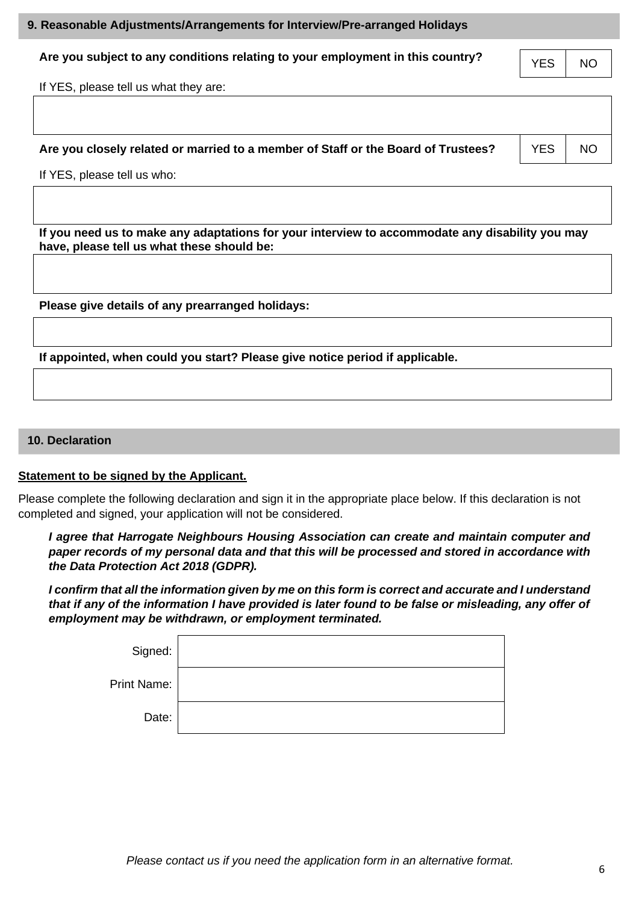## **9. Reasonable Adjustments/Arrangements for Interview/Pre-arranged Holidays**

# Are you subject to any conditions relating to your employment in this country?  $YES | NO$

If YES, please tell us what they are:

## **Are you closely related or married to a member of Staff or the Board of Trustees?** FIGS FIGO

If YES, please tell us who:

**If you need us to make any adaptations for your interview to accommodate any disability you may have, please tell us what these should be:**

**Please give details of any prearranged holidays:**

**If appointed, when could you start? Please give notice period if applicable.**

### **10. Declaration**

## **Statement to be signed by the Applicant.**

Please complete the following declaration and sign it in the appropriate place below. If this declaration is not completed and signed, your application will not be considered.

*I agree that Harrogate Neighbours Housing Association can create and maintain computer and paper records of my personal data and that this will be processed and stored in accordance with the Data Protection Act 2018 (GDPR).*

*I* confirm that all the information given by me on this form is correct and accurate and I understand *that if any of the information I have provided is later found to be false or misleading, any offer of employment may be withdrawn, or employment terminated.*

| Signed:     |
|-------------|
| Print Name: |
|             |
|             |